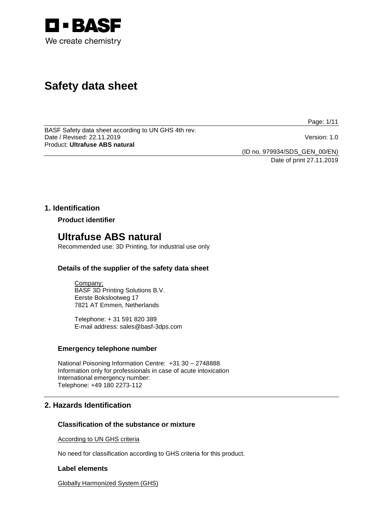

# **Safety data sheet**

Page: 1/11

BASF Safety data sheet according to UN GHS 4th rev. Date / Revised: 22.11.2019 Version: 1.0 Product: **Ultrafuse ABS natural**

(ID no. 979934/SDS\_GEN\_00/EN)

Date of print 27.11.2019

## **1. Identification**

**Product identifier**

## **Ultrafuse ABS natural**

Recommended use: 3D Printing, for industrial use only

## **Details of the supplier of the safety data sheet**

Company: BASF 3D Printing Solutions B.V. Eerste Bokslootweg 17 7821 AT Emmen, Netherlands

Telephone: + 31 591 820 389 E-mail address: sales@basf-3dps.com

## **Emergency telephone number**

National Poisoning Information Centre: +31 30 – 2748888 Information only for professionals in case of acute intoxication International emergency number: Telephone: +49 180 2273-112

## **2. Hazards Identification**

## **Classification of the substance or mixture**

According to UN GHS criteria

No need for classification according to GHS criteria for this product.

## **Label elements**

Globally Harmonized System (GHS)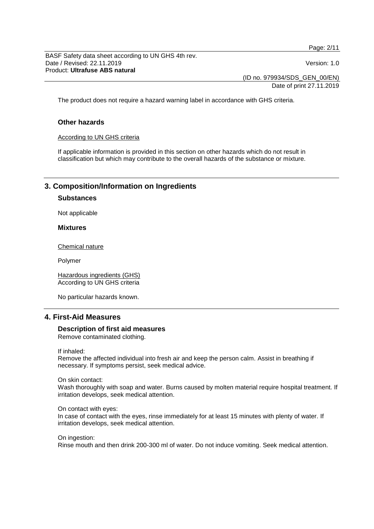Page: 2/11

BASF Safety data sheet according to UN GHS 4th rev. Date / Revised: 22.11.2019 Version: 1.0 Product: **Ultrafuse ABS natural**

(ID no. 979934/SDS\_GEN\_00/EN)

Date of print 27.11.2019

The product does not require a hazard warning label in accordance with GHS criteria.

## **Other hazards**

#### According to UN GHS criteria

If applicable information is provided in this section on other hazards which do not result in classification but which may contribute to the overall hazards of the substance or mixture.

## **3. Composition/Information on Ingredients**

## **Substances**

Not applicable

#### **Mixtures**

Chemical nature

Polymer

Hazardous ingredients (GHS) According to UN GHS criteria

No particular hazards known.

## **4. First-Aid Measures**

#### **Description of first aid measures** Remove contaminated clothing.

If inhaled:

Remove the affected individual into fresh air and keep the person calm. Assist in breathing if necessary. If symptoms persist, seek medical advice.

#### On skin contact:

Wash thoroughly with soap and water. Burns caused by molten material require hospital treatment. If irritation develops, seek medical attention.

#### On contact with eyes:

In case of contact with the eyes, rinse immediately for at least 15 minutes with plenty of water. If irritation develops, seek medical attention.

On ingestion:

Rinse mouth and then drink 200-300 ml of water. Do not induce vomiting. Seek medical attention.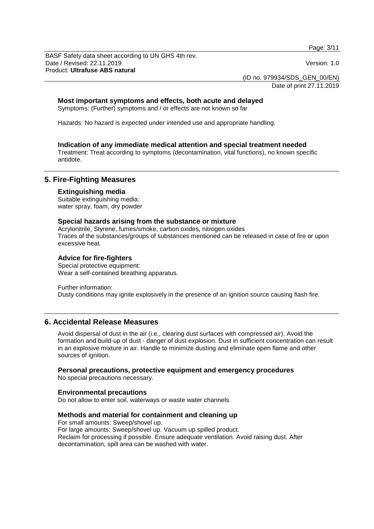Page: 3/11

BASF Safety data sheet according to UN GHS 4th rev. Date / Revised: 22.11.2019 Version: 1.0 Product: **Ultrafuse ABS natural**

(ID no. 979934/SDS\_GEN\_00/EN)

Date of print 27.11.2019

## **Most important symptoms and effects, both acute and delayed**

Symptoms: (Further) symptoms and / or effects are not known so far

Hazards: No hazard is expected under intended use and appropriate handling.

#### **Indication of any immediate medical attention and special treatment needed**

Treatment: Treat according to symptoms (decontamination, vital functions), no known specific antidote.

## **5. Fire-Fighting Measures**

#### **Extinguishing media**

Suitable extinguishing media: water spray, foam, dry powder

#### **Special hazards arising from the substance or mixture**

Acrylonitrile, Styrene, fumes/smoke, carbon oxides, nitrogen oxides Traces of the substances/groups of substances mentioned can be released in case of fire or upon excessive heat.

#### **Advice for fire-fighters**

Special protective equipment: Wear a self-contained breathing apparatus.

Further information:

Dusty conditions may ignite explosively in the presence of an ignition source causing flash fire.

## **6. Accidental Release Measures**

Avoid dispersal of dust in the air (i.e., clearing dust surfaces with compressed air). Avoid the formation and build-up of dust - danger of dust explosion. Dust in sufficient concentration can result in an explosive mixture in air. Handle to minimize dusting and eliminate open flame and other sources of ignition.

## **Personal precautions, protective equipment and emergency procedures**

No special precautions necessary.

#### **Environmental precautions**

Do not allow to enter soil, waterways or waste water channels.

#### **Methods and material for containment and cleaning up**

For small amounts: Sweep/shovel up. For large amounts: Sweep/shovel up. Vacuum up spilled product. Reclaim for processing if possible. Ensure adequate ventilation. Avoid raising dust. After decontamination, spill area can be washed with water.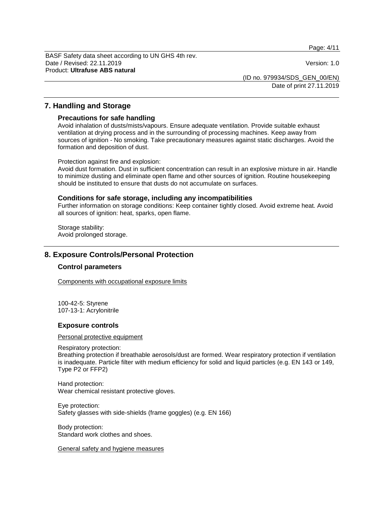Page: 4/11

BASF Safety data sheet according to UN GHS 4th rev. Date / Revised: 22.11.2019 Version: 1.0 Product: **Ultrafuse ABS natural**

(ID no. 979934/SDS\_GEN\_00/EN)

Date of print 27.11.2019

## **7. Handling and Storage**

#### **Precautions for safe handling**

Avoid inhalation of dusts/mists/vapours. Ensure adequate ventilation. Provide suitable exhaust ventilation at drying process and in the surrounding of processing machines. Keep away from sources of ignition - No smoking. Take precautionary measures against static discharges. Avoid the formation and deposition of dust.

Protection against fire and explosion:

Avoid dust formation. Dust in sufficient concentration can result in an explosive mixture in air. Handle to minimize dusting and eliminate open flame and other sources of ignition. Routine housekeeping should be instituted to ensure that dusts do not accumulate on surfaces.

#### **Conditions for safe storage, including any incompatibilities**

Further information on storage conditions: Keep container tightly closed. Avoid extreme heat. Avoid all sources of ignition: heat, sparks, open flame.

Storage stability: Avoid prolonged storage.

## **8. Exposure Controls/Personal Protection**

### **Control parameters**

Components with occupational exposure limits

100-42-5: Styrene 107-13-1: Acrylonitrile

#### **Exposure controls**

#### Personal protective equipment

#### Respiratory protection:

Breathing protection if breathable aerosols/dust are formed. Wear respiratory protection if ventilation is inadequate. Particle filter with medium efficiency for solid and liquid particles (e.g. EN 143 or 149, Type P2 or FFP2)

Hand protection: Wear chemical resistant protective gloves.

Eye protection: Safety glasses with side-shields (frame goggles) (e.g. EN 166)

Body protection: Standard work clothes and shoes.

General safety and hygiene measures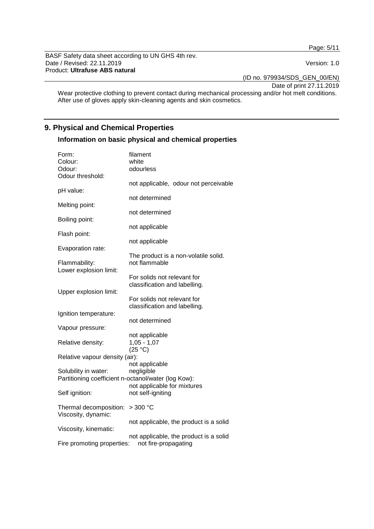Page: 5/11

BASF Safety data sheet according to UN GHS 4th rev. Date / Revised: 22.11.2019 Version: 1.0 Product: **Ultrafuse ABS natural**

(ID no. 979934/SDS\_GEN\_00/EN)

Date of print 27.11.2019

Wear protective clothing to prevent contact during mechanical processing and/or hot melt conditions. After use of gloves apply skin-cleaning agents and skin cosmetics.

## **9. Physical and Chemical Properties**

## **Information on basic physical and chemical properties**

| Form:                                               | filament                               |
|-----------------------------------------------------|----------------------------------------|
| Colour:                                             | white                                  |
| Odour:                                              | odourless                              |
| Odour threshold:                                    |                                        |
|                                                     | not applicable, odour not perceivable  |
| pH value:                                           |                                        |
|                                                     | not determined                         |
| Melting point:                                      |                                        |
|                                                     | not determined                         |
| Boiling point:                                      |                                        |
|                                                     | not applicable                         |
| Flash point:                                        |                                        |
|                                                     | not applicable                         |
| Evaporation rate:                                   |                                        |
|                                                     | The product is a non-volatile solid.   |
| Flammability:                                       | not flammable                          |
| Lower explosion limit:                              |                                        |
|                                                     | For solids not relevant for            |
|                                                     | classification and labelling.          |
| Upper explosion limit:                              |                                        |
|                                                     | For solids not relevant for            |
|                                                     | classification and labelling.          |
| Ignition temperature:                               |                                        |
|                                                     | not determined                         |
| Vapour pressure:                                    |                                        |
|                                                     | not applicable                         |
| Relative density:                                   | $1,05 - 1,07$                          |
|                                                     | (25 °C)                                |
| Relative vapour density (air):                      |                                        |
|                                                     | not applicable                         |
| Solubility in water:                                | negligible                             |
| Partitioning coefficient n-octanol/water (log Kow): |                                        |
|                                                     | not applicable for mixtures            |
|                                                     |                                        |
| Self ignition:                                      | not self-igniting                      |
| Thermal decomposition:                              | $>300$ °C                              |
| Viscosity, dynamic:                                 |                                        |
|                                                     |                                        |
| Viscosity, kinematic:                               | not applicable, the product is a solid |
|                                                     |                                        |
|                                                     | not applicable, the product is a solid |
| Fire promoting properties:                          | not fire-propagating                   |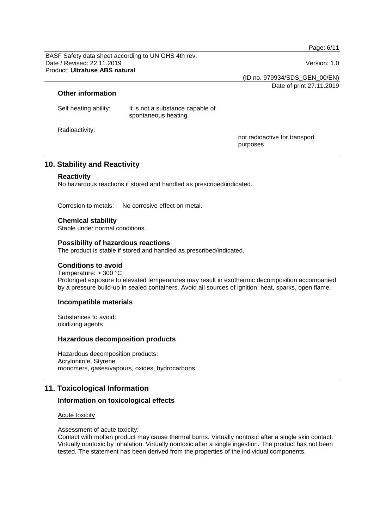Page: 6/11

BASF Safety data sheet according to UN GHS 4th rev. Date / Revised: 22.11.2019 Version: 1.0 Product: **Ultrafuse ABS natural**

(ID no. 979934/SDS\_GEN\_00/EN)

Date of print 27.11.2019

## **Other information**

| Self heating ability: | It is not a substance capable of |
|-----------------------|----------------------------------|
|                       | spontaneous heating.             |

Radioactivity:

not radioactive for transport purposes

## **10. Stability and Reactivity**

## **Reactivity**

No hazardous reactions if stored and handled as prescribed/indicated.

Corrosion to metals: No corrosive effect on metal.

**Chemical stability** Stable under normal conditions.

#### **Possibility of hazardous reactions**

The product is stable if stored and handled as prescribed/indicated.

## **Conditions to avoid**

Temperature: > 300 °C Prolonged exposure to elevated temperatures may result in exothermic decomposition accompanied by a pressure build-up in sealed containers. Avoid all sources of ignition: heat, sparks, open flame.

## **Incompatible materials**

Substances to avoid: oxidizing agents

#### **Hazardous decomposition products**

Hazardous decomposition products: Acrylonitrile, Styrene monomers, gases/vapours, oxides, hydrocarbons

## **11. Toxicological Information**

## **Information on toxicological effects**

#### Acute toxicity

Assessment of acute toxicity:

Contact with molten product may cause thermal burns. Virtually nontoxic after a single skin contact. Virtually nontoxic by inhalation. Virtually nontoxic after a single ingestion. The product has not been tested. The statement has been derived from the properties of the individual components.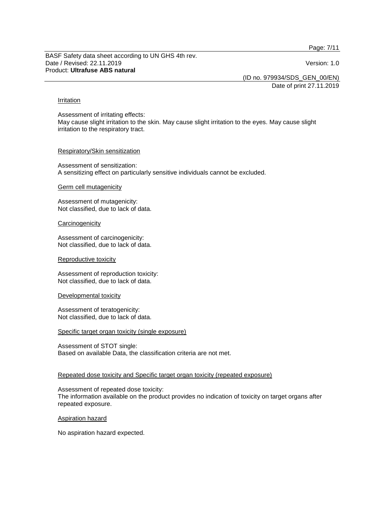Page: 7/11

BASF Safety data sheet according to UN GHS 4th rev. Date / Revised: 22.11.2019 Version: 1.0 Product: **Ultrafuse ABS natural**

(ID no. 979934/SDS\_GEN\_00/EN)

Date of print 27.11.2019

#### Irritation

Assessment of irritating effects: May cause slight irritation to the skin. May cause slight irritation to the eyes. May cause slight irritation to the respiratory tract.

#### Respiratory/Skin sensitization

Assessment of sensitization: A sensitizing effect on particularly sensitive individuals cannot be excluded.

#### Germ cell mutagenicity

Assessment of mutagenicity: Not classified, due to lack of data.

#### **Carcinogenicity**

Assessment of carcinogenicity: Not classified, due to lack of data.

#### Reproductive toxicity

Assessment of reproduction toxicity: Not classified, due to lack of data.

## Developmental toxicity

Assessment of teratogenicity: Not classified, due to lack of data.

## Specific target organ toxicity (single exposure)

Assessment of STOT single: Based on available Data, the classification criteria are not met.

## Repeated dose toxicity and Specific target organ toxicity (repeated exposure)

Assessment of repeated dose toxicity: The information available on the product provides no indication of toxicity on target organs after repeated exposure.

## Aspiration hazard

No aspiration hazard expected.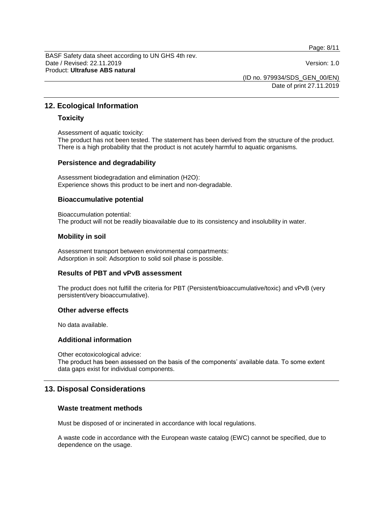Page: 8/11

BASF Safety data sheet according to UN GHS 4th rev. Date / Revised: 22.11.2019 Version: 1.0 Product: **Ultrafuse ABS natural**

(ID no. 979934/SDS\_GEN\_00/EN)

Date of print 27.11.2019

## **12. Ecological Information**

## **Toxicity**

Assessment of aquatic toxicity:

The product has not been tested. The statement has been derived from the structure of the product. There is a high probability that the product is not acutely harmful to aquatic organisms.

#### **Persistence and degradability**

Assessment biodegradation and elimination (H2O): Experience shows this product to be inert and non-degradable.

#### **Bioaccumulative potential**

Bioaccumulation potential: The product will not be readily bioavailable due to its consistency and insolubility in water.

## **Mobility in soil**

Assessment transport between environmental compartments: Adsorption in soil: Adsorption to solid soil phase is possible.

## **Results of PBT and vPvB assessment**

The product does not fulfill the criteria for PBT (Persistent/bioaccumulative/toxic) and vPvB (very persistent/very bioaccumulative).

#### **Other adverse effects**

No data available.

## **Additional information**

Other ecotoxicological advice:

The product has been assessed on the basis of the components' available data. To some extent data gaps exist for individual components.

## **13. Disposal Considerations**

## **Waste treatment methods**

Must be disposed of or incinerated in accordance with local regulations.

A waste code in accordance with the European waste catalog (EWC) cannot be specified, due to dependence on the usage.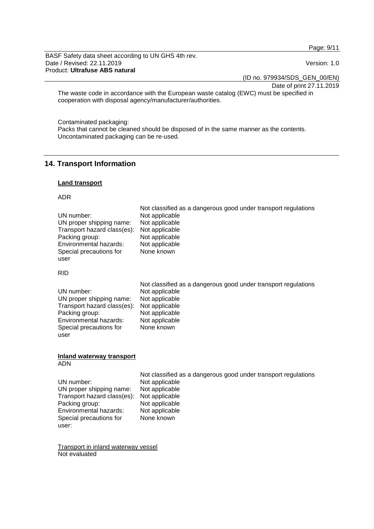Page: 9/11

BASF Safety data sheet according to UN GHS 4th rev. Date / Revised: 22.11.2019 **Version: 1.0** Product: **Ultrafuse ABS natural**

(ID no. 979934/SDS\_GEN\_00/EN)

Date of print 27.11.2019

The waste code in accordance with the European waste catalog (EWC) must be specified in cooperation with disposal agency/manufacturer/authorities.

Contaminated packaging:

Packs that cannot be cleaned should be disposed of in the same manner as the contents. Uncontaminated packaging can be re-used.

## **14. Transport Information**

## **Land transport**

#### ADR

|                             | Not classified as a dangerous good under transport regulations |
|-----------------------------|----------------------------------------------------------------|
| UN number:                  | Not applicable                                                 |
| UN proper shipping name:    | Not applicable                                                 |
| Transport hazard class(es): | Not applicable                                                 |
| Packing group:              | Not applicable                                                 |
| Environmental hazards:      | Not applicable                                                 |
| Special precautions for     | None known                                                     |
| user                        |                                                                |

#### RID

|                                            | Not classified as a dangerous good under transport regulations |
|--------------------------------------------|----------------------------------------------------------------|
| UN number:                                 | Not applicable                                                 |
| UN proper shipping name:                   | Not applicable                                                 |
| Transport hazard class(es): Not applicable |                                                                |
| Packing group:                             | Not applicable                                                 |
| Environmental hazards:                     | Not applicable                                                 |
| Special precautions for                    | None known                                                     |
| user                                       |                                                                |

#### **Inland waterway transport** ADN

| UN number:                                 | Not classified as a dangerous good under transport regulations<br>Not applicable |
|--------------------------------------------|----------------------------------------------------------------------------------|
| UN proper shipping name:                   | Not applicable                                                                   |
| Transport hazard class(es): Not applicable |                                                                                  |
| Packing group:                             | Not applicable                                                                   |
| Environmental hazards:                     | Not applicable                                                                   |
| Special precautions for                    | None known                                                                       |
| user:                                      |                                                                                  |

Transport in inland waterway vessel Not evaluated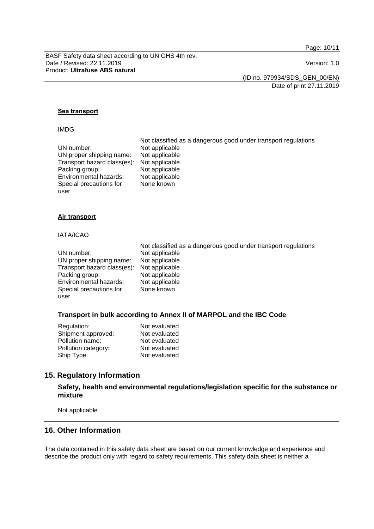Page: 10/11

BASF Safety data sheet according to UN GHS 4th rev. Date / Revised: 22.11.2019 Version: 1.0 Product: **Ultrafuse ABS natural**

(ID no. 979934/SDS\_GEN\_00/EN)

Date of print 27.11.2019

#### **Sea transport**

#### IMDG

|                                            | Not classified as a dangerous good under transport regulations |
|--------------------------------------------|----------------------------------------------------------------|
| UN number:                                 | Not applicable                                                 |
| UN proper shipping name:                   | Not applicable                                                 |
| Transport hazard class(es): Not applicable |                                                                |
| Packing group:                             | Not applicable                                                 |
| Environmental hazards:                     | Not applicable                                                 |
| Special precautions for                    | None known                                                     |
| user                                       |                                                                |

#### **Air transport**

#### IATA/ICAO

|                                            | Not classified as a dangerous good under transport regulations |
|--------------------------------------------|----------------------------------------------------------------|
| UN number:                                 | Not applicable                                                 |
| UN proper shipping name:                   | Not applicable                                                 |
| Transport hazard class(es): Not applicable |                                                                |
| Packing group:                             | Not applicable                                                 |
| Environmental hazards:                     | Not applicable                                                 |
| Special precautions for                    | None known                                                     |
| user                                       |                                                                |

#### **Transport in bulk according to Annex II of MARPOL and the IBC Code**

| Regulation:         | Not evaluated |
|---------------------|---------------|
| Shipment approved:  | Not evaluated |
| Pollution name:     | Not evaluated |
| Pollution category: | Not evaluated |
| Ship Type:          | Not evaluated |
|                     |               |

## **15. Regulatory Information**

## **Safety, health and environmental regulations/legislation specific for the substance or mixture**

Not applicable

## **16. Other Information**

The data contained in this safety data sheet are based on our current knowledge and experience and describe the product only with regard to safety requirements. This safety data sheet is neither a